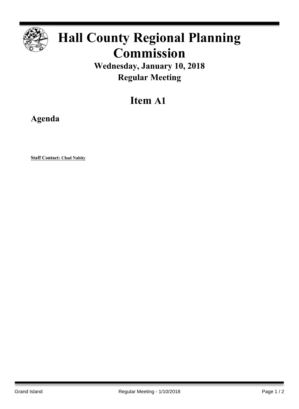

## **Hall County Regional Planning Commission**

**Wednesday, January 10, 2018 Regular Meeting**

## **Item A1**

**Agenda**

**Staff Contact: Chad Nabity**